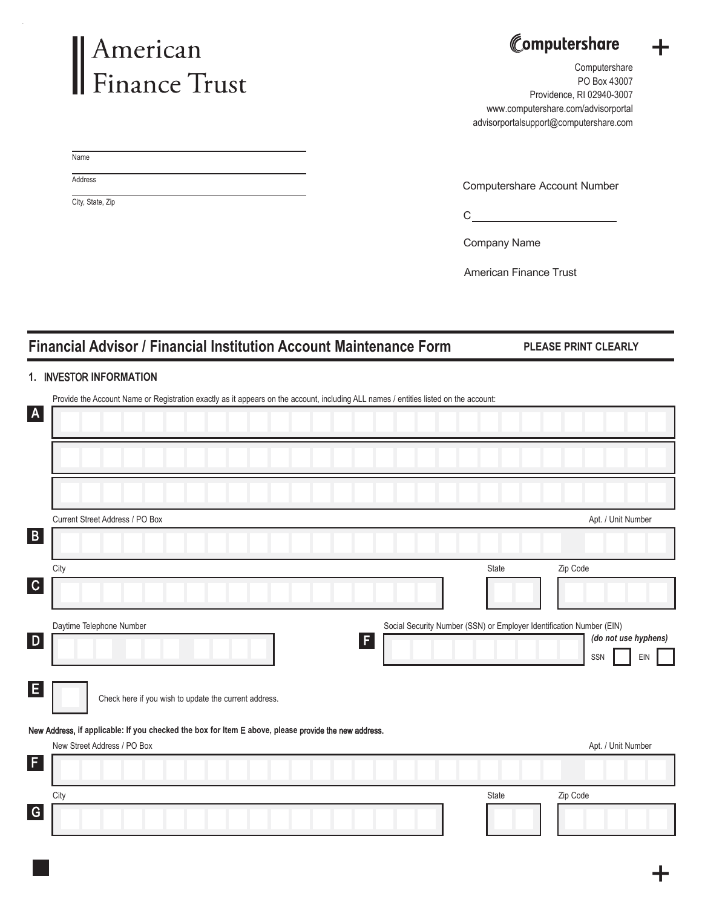# American<br>Finance Trust

## Computershare

+

Computershare PO Box 43007 Providence, RI 02940-3007 www.computershare.com/advisorportal advisorportalsupport@computershare.com

Name

**Address** 

City, State, Zip

Computershare Account Number

**C**<sub>c</sub>ontain the contract of the contract of the contract of the contract of the contract of the contract of the contract of the contract of the contract of the contract of the contract of the contract of the contract of t

Company Name

American Finance Trust

### **Financial Advisor / Financial Institution Account Maintenance Form PLEASE PRINT CLEARLY**

#### **1.** INVESTOR **INFORMATION**

| Provide the Account Name or Registration exactly as it appears on the account, including ALL names / entities listed on the account: |                                                                      |     |
|--------------------------------------------------------------------------------------------------------------------------------------|----------------------------------------------------------------------|-----|
| $\mathbf{A}$                                                                                                                         |                                                                      |     |
|                                                                                                                                      |                                                                      |     |
|                                                                                                                                      |                                                                      |     |
|                                                                                                                                      |                                                                      |     |
|                                                                                                                                      |                                                                      |     |
| Current Street Address / PO Box                                                                                                      | Apt. / Unit Number                                                   |     |
| $\mathbf{B}$                                                                                                                         |                                                                      |     |
|                                                                                                                                      |                                                                      |     |
| City                                                                                                                                 | Zip Code<br>State                                                    |     |
| $\mathbf C$                                                                                                                          |                                                                      |     |
|                                                                                                                                      |                                                                      |     |
| Daytime Telephone Number                                                                                                             | Social Security Number (SSN) or Employer Identification Number (EIN) |     |
| $\mathsf{D}$                                                                                                                         | (do not use hyphens)<br>F                                            |     |
|                                                                                                                                      | SSN                                                                  | EIN |
| E                                                                                                                                    |                                                                      |     |
| Check here if you wish to update the current address.                                                                                |                                                                      |     |
|                                                                                                                                      |                                                                      |     |
| New Address, if applicable: If you checked the box for Item E above, please provide the new address.<br>New Street Address / PO Box  |                                                                      |     |
| F,                                                                                                                                   | Apt. / Unit Number                                                   |     |
|                                                                                                                                      |                                                                      |     |
| City                                                                                                                                 | Zip Code<br>State                                                    |     |
| $\overline{G}$                                                                                                                       |                                                                      |     |
|                                                                                                                                      |                                                                      |     |